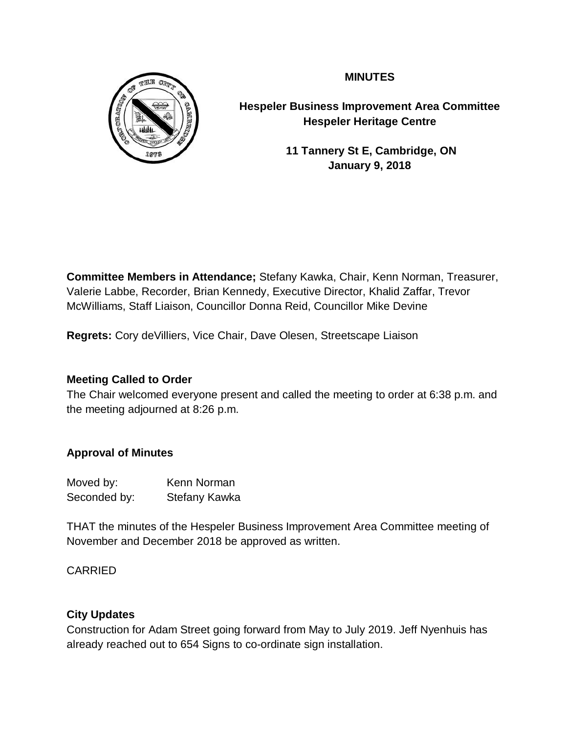

**MINUTES**

**Hespeler Business Improvement Area Committee Hespeler Heritage Centre**

> **11 Tannery St E, Cambridge, ON January 9, 2018**

**Committee Members in Attendance;** Stefany Kawka, Chair, Kenn Norman, Treasurer, Valerie Labbe, Recorder, Brian Kennedy, Executive Director, Khalid Zaffar, Trevor McWilliams, Staff Liaison, Councillor Donna Reid, Councillor Mike Devine

**Regrets:** Cory deVilliers, Vice Chair, Dave Olesen, Streetscape Liaison

## **Meeting Called to Order**

The Chair welcomed everyone present and called the meeting to order at 6:38 p.m. and the meeting adjourned at 8:26 p.m.

# **Approval of Minutes**

Moved by: Kenn Norman Seconded by: Stefany Kawka

THAT the minutes of the Hespeler Business Improvement Area Committee meeting of November and December 2018 be approved as written.

CARRIED

# **City Updates**

Construction for Adam Street going forward from May to July 2019. Jeff Nyenhuis has already reached out to 654 Signs to co-ordinate sign installation.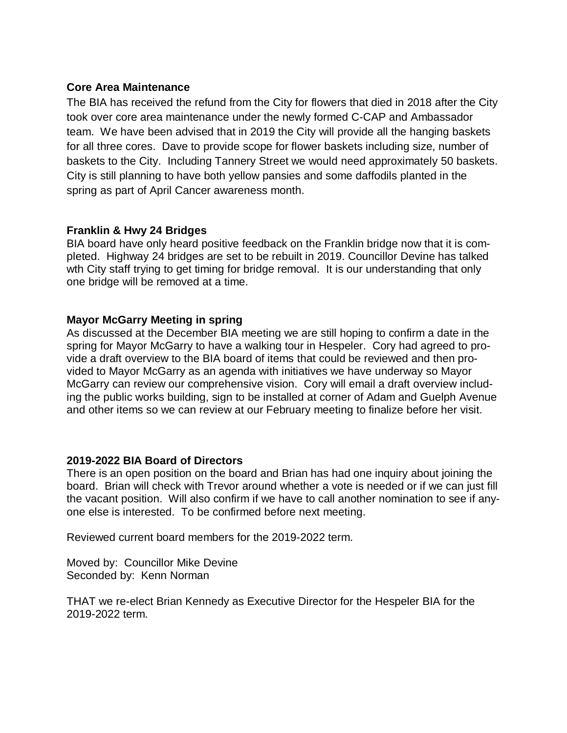## **Core Area Maintenance**

The BIA has received the refund from the City for flowers that died in 2018 after the City took over core area maintenance under the newly formed C-CAP and Ambassador team. We have been advised that in 2019 the City will provide all the hanging baskets for all three cores. Dave to provide scope for flower baskets including size, number of baskets to the City. Including Tannery Street we would need approximately 50 baskets. City is still planning to have both yellow pansies and some daffodils planted in the spring as part of April Cancer awareness month.

## **Franklin & Hwy 24 Bridges**

BIA board have only heard positive feedback on the Franklin bridge now that it is completed. Highway 24 bridges are set to be rebuilt in 2019. Councillor Devine has talked wth City staff trying to get timing for bridge removal. It is our understanding that only one bridge will be removed at a time.

## **Mayor McGarry Meeting in spring**

As discussed at the December BIA meeting we are still hoping to confirm a date in the spring for Mayor McGarry to have a walking tour in Hespeler. Cory had agreed to provide a draft overview to the BIA board of items that could be reviewed and then provided to Mayor McGarry as an agenda with initiatives we have underway so Mayor McGarry can review our comprehensive vision. Cory will email a draft overview including the public works building, sign to be installed at corner of Adam and Guelph Avenue and other items so we can review at our February meeting to finalize before her visit.

## **2019-2022 BIA Board of Directors**

There is an open position on the board and Brian has had one inquiry about joining the board. Brian will check with Trevor around whether a vote is needed or if we can just fill the vacant position. Will also confirm if we have to call another nomination to see if anyone else is interested. To be confirmed before next meeting.

Reviewed current board members for the 2019-2022 term.

Moved by: Councillor Mike Devine Seconded by: Kenn Norman

THAT we re-elect Brian Kennedy as Executive Director for the Hespeler BIA for the 2019-2022 term.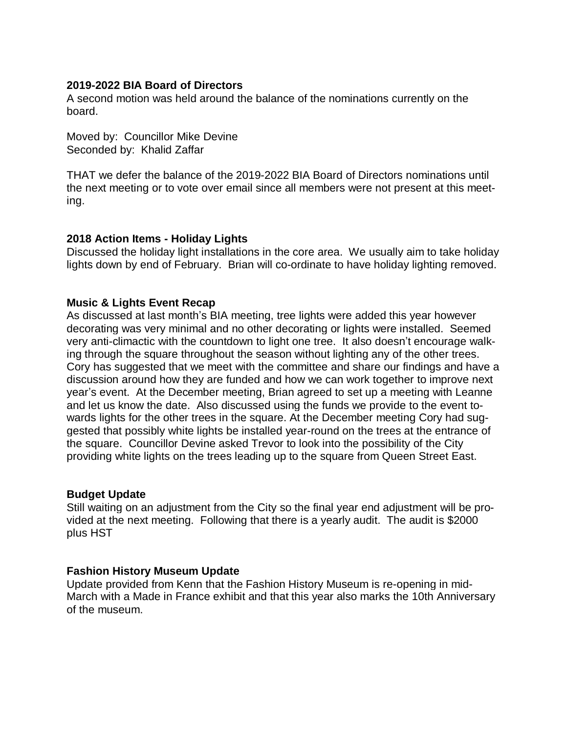#### **2019-2022 BIA Board of Directors**

A second motion was held around the balance of the nominations currently on the board.

Moved by: Councillor Mike Devine Seconded by: Khalid Zaffar

THAT we defer the balance of the 2019-2022 BIA Board of Directors nominations until the next meeting or to vote over email since all members were not present at this meeting.

## **2018 Action Items - Holiday Lights**

Discussed the holiday light installations in the core area. We usually aim to take holiday lights down by end of February. Brian will co-ordinate to have holiday lighting removed.

#### **Music & Lights Event Recap**

As discussed at last month's BIA meeting, tree lights were added this year however decorating was very minimal and no other decorating or lights were installed. Seemed very anti-climactic with the countdown to light one tree. It also doesn't encourage walking through the square throughout the season without lighting any of the other trees. Cory has suggested that we meet with the committee and share our findings and have a discussion around how they are funded and how we can work together to improve next year's event. At the December meeting, Brian agreed to set up a meeting with Leanne and let us know the date. Also discussed using the funds we provide to the event towards lights for the other trees in the square. At the December meeting Cory had suggested that possibly white lights be installed year-round on the trees at the entrance of the square. Councillor Devine asked Trevor to look into the possibility of the City providing white lights on the trees leading up to the square from Queen Street East.

## **Budget Update**

Still waiting on an adjustment from the City so the final year end adjustment will be provided at the next meeting. Following that there is a yearly audit. The audit is \$2000 plus HST

## **Fashion History Museum Update**

Update provided from Kenn that the Fashion History Museum is re-opening in mid-March with a Made in France exhibit and that this year also marks the 10th Anniversary of the museum.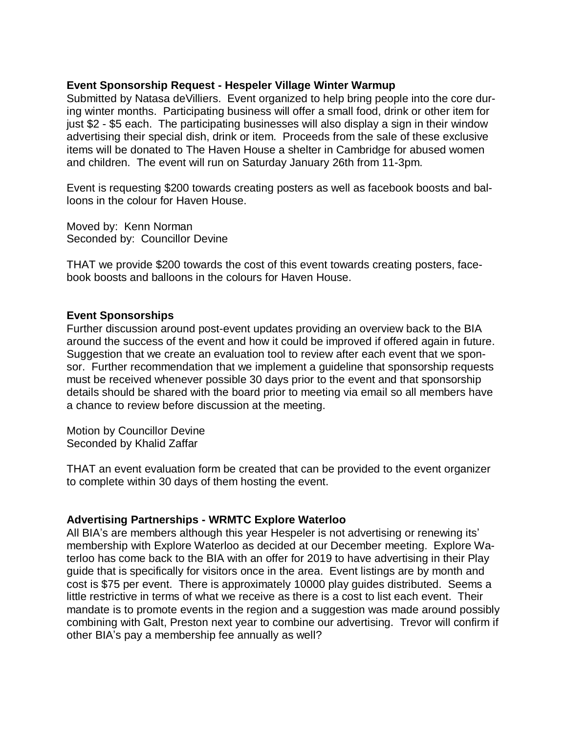#### **Event Sponsorship Request - Hespeler Village Winter Warmup**

Submitted by Natasa deVilliers. Event organized to help bring people into the core during winter months. Participating business will offer a small food, drink or other item for just \$2 - \$5 each. The participating businesses will also display a sign in their window advertising their special dish, drink or item. Proceeds from the sale of these exclusive items will be donated to The Haven House a shelter in Cambridge for abused women and children. The event will run on Saturday January 26th from 11-3pm.

Event is requesting \$200 towards creating posters as well as facebook boosts and balloons in the colour for Haven House.

Moved by: Kenn Norman Seconded by: Councillor Devine

THAT we provide \$200 towards the cost of this event towards creating posters, facebook boosts and balloons in the colours for Haven House.

#### **Event Sponsorships**

Further discussion around post-event updates providing an overview back to the BIA around the success of the event and how it could be improved if offered again in future. Suggestion that we create an evaluation tool to review after each event that we sponsor. Further recommendation that we implement a guideline that sponsorship requests must be received whenever possible 30 days prior to the event and that sponsorship details should be shared with the board prior to meeting via email so all members have a chance to review before discussion at the meeting.

Motion by Councillor Devine Seconded by Khalid Zaffar

THAT an event evaluation form be created that can be provided to the event organizer to complete within 30 days of them hosting the event.

#### **Advertising Partnerships - WRMTC Explore Waterloo**

All BIA's are members although this year Hespeler is not advertising or renewing its' membership with Explore Waterloo as decided at our December meeting. Explore Waterloo has come back to the BIA with an offer for 2019 to have advertising in their Play guide that is specifically for visitors once in the area. Event listings are by month and cost is \$75 per event. There is approximately 10000 play guides distributed. Seems a little restrictive in terms of what we receive as there is a cost to list each event. Their mandate is to promote events in the region and a suggestion was made around possibly combining with Galt, Preston next year to combine our advertising. Trevor will confirm if other BIA's pay a membership fee annually as well?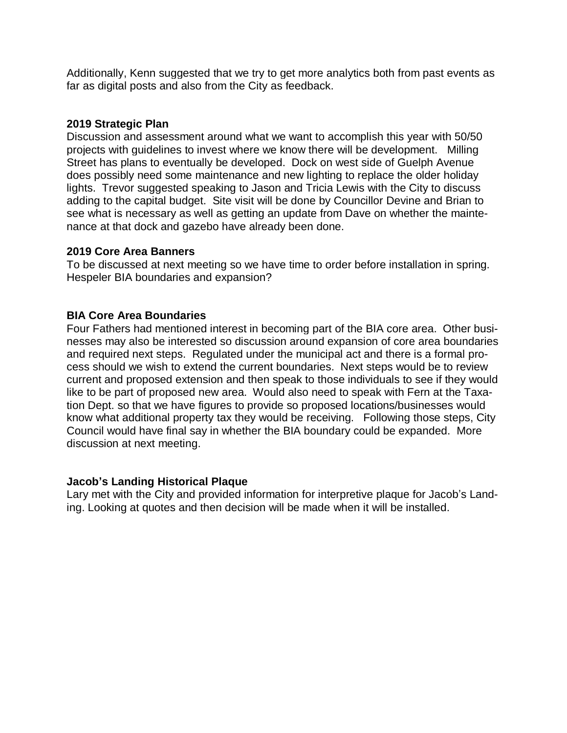Additionally, Kenn suggested that we try to get more analytics both from past events as far as digital posts and also from the City as feedback.

## **2019 Strategic Plan**

Discussion and assessment around what we want to accomplish this year with 50/50 projects with guidelines to invest where we know there will be development. Milling Street has plans to eventually be developed. Dock on west side of Guelph Avenue does possibly need some maintenance and new lighting to replace the older holiday lights. Trevor suggested speaking to Jason and Tricia Lewis with the City to discuss adding to the capital budget. Site visit will be done by Councillor Devine and Brian to see what is necessary as well as getting an update from Dave on whether the maintenance at that dock and gazebo have already been done.

## **2019 Core Area Banners**

To be discussed at next meeting so we have time to order before installation in spring. Hespeler BIA boundaries and expansion?

## **BIA Core Area Boundaries**

Four Fathers had mentioned interest in becoming part of the BIA core area. Other businesses may also be interested so discussion around expansion of core area boundaries and required next steps. Regulated under the municipal act and there is a formal process should we wish to extend the current boundaries. Next steps would be to review current and proposed extension and then speak to those individuals to see if they would like to be part of proposed new area. Would also need to speak with Fern at the Taxation Dept. so that we have figures to provide so proposed locations/businesses would know what additional property tax they would be receiving. Following those steps, City Council would have final say in whether the BIA boundary could be expanded. More discussion at next meeting.

## **Jacob's Landing Historical Plaque**

Lary met with the City and provided information for interpretive plaque for Jacob's Landing. Looking at quotes and then decision will be made when it will be installed.